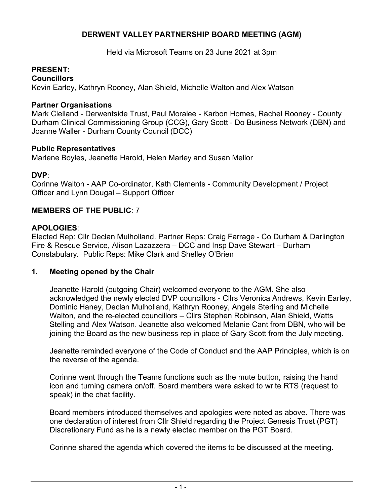# **DERWENT VALLEY PARTNERSHIP BOARD MEETING (AGM)**

Held via Microsoft Teams on 23 June 2021 at 3pm

# **PRESENT:**

**Councillors**

Kevin Earley, Kathryn Rooney, Alan Shield, Michelle Walton and Alex Watson

### **Partner Organisations**

 Mark Clelland - Derwentside Trust, Paul Moralee - Karbon Homes, Rachel Rooney - County Durham Clinical Commissioning Group (CCG), Gary Scott - Do Business Network (DBN) and Joanne Waller - Durham County Council (DCC)

## **Public Representatives**

Marlene Boyles, Jeanette Harold, Helen Marley and Susan Mellor

### **DVP**:

 Corinne Walton - AAP Co-ordinator, Kath Clements - Community Development / Project Officer and Lynn Dougal – Support Officer

### **MEMBERS OF THE PUBLIC**: 7

### **APOLOGIES**:

 Elected Rep: Cllr Declan Mulholland. Partner Reps: Craig Farrage - Co Durham & Darlington Fire & Rescue Service, Alison Lazazzera – DCC and Insp Dave Stewart – Durham Constabulary. Public Reps: Mike Clark and Shelley O'Brien

## **1. Meeting opened by the Chair**

 Jeanette Harold (outgoing Chair) welcomed everyone to the AGM. She also acknowledged the newly elected DVP councillors - Cllrs Veronica Andrews, Kevin Earley, joining the Board as the new business rep in place of Gary Scott from the July meeting. Dominic Haney, Declan Mulholland, Kathryn Rooney, Angela Sterling and Michelle Walton, and the re-elected councillors – Cllrs Stephen Robinson, Alan Shield, Watts Stelling and Alex Watson. Jeanette also welcomed Melanie Cant from DBN, who will be

Jeanette reminded everyone of the Code of Conduct and the AAP Principles, which is on the reverse of the agenda.

 icon and turning camera on/off. Board members were asked to write RTS (request to speak) in the chat facility. Corinne went through the Teams functions such as the mute button, raising the hand

 Board members introduced themselves and apologies were noted as above. There was Discretionary Fund as he is a newly elected member on the PGT Board. one declaration of interest from Cllr Shield regarding the Project Genesis Trust (PGT)

Corinne shared the agenda which covered the items to be discussed at the meeting.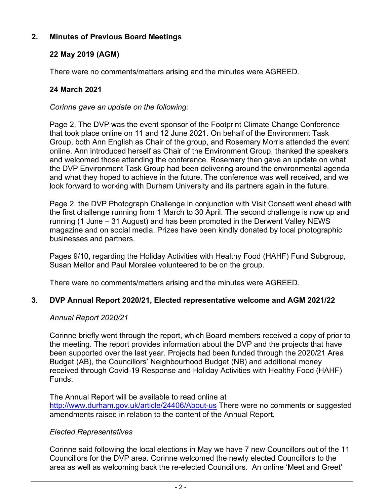# **2. Minutes of Previous Board Meetings**

# **22 May 2019 (AGM)**

There were no comments/matters arising and the minutes were AGREED.

# **24 March 2021**

 *Corinne gave an update on the following:*

 that took place online on 11 and 12 June 2021. On behalf of the Environment Task Group, both Ann English as Chair of the group, and Rosemary Morris attended the event the DVP Environment Task Group had been delivering around the environmental agenda look forward to working with Durham University and its partners again in the future. Page 2, The DVP was the event sponsor of the Footprint Climate Change Conference online. Ann introduced herself as Chair of the Environment Group, thanked the speakers and welcomed those attending the conference. Rosemary then gave an update on what and what they hoped to achieve in the future. The conference was well received, and we

 magazine and on social media. Prizes have been kindly donated by local photographic businesses and partners. Page 2, the DVP Photograph Challenge in conjunction with Visit Consett went ahead with the first challenge running from 1 March to 30 April. The second challenge is now up and running (1 June – 31 August) and has been promoted in the Derwent Valley NEWS

 Susan Mellor and Paul Moralee volunteered to be on the group. Pages 9/10, regarding the Holiday Activities with Healthy Food (HAHF) Fund Subgroup,

There were no comments/matters arising and the minutes were AGREED.

# **3. DVP Annual Report 2020/21, Elected representative welcome and AGM 2021/22**

## *Annual Report 2020/21*

 Corinne briefly went through the report, which Board members received a copy of prior to the meeting. The report provides information about the DVP and the projects that have been supported over the last year. Projects had been funded through the 2020/21 Area Budget (AB), the Councillors' Neighbourhood Budget (NB) and additional money received through Covid-19 Response and Holiday Activities with Healthy Food (HAHF) Funds.

<http://www.durham.gov.uk/article/24406/About-us> There were no comments or suggested amendments raised in relation to the content of the Annual Report. The Annual Report will be available to read online at

## *Elected Representatives*

 Councillors for the DVP area. Corinne welcomed the newly elected Councillors to the area as well as welcoming back the re-elected Councillors. An online 'Meet and Greet' Corinne said following the local elections in May we have 7 new Councillors out of the 11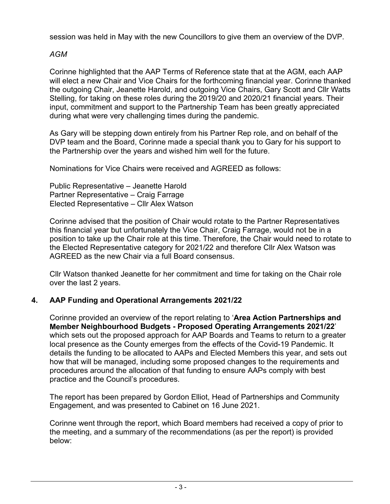session was held in May with the new Councillors to give them an overview of the DVP.

# *AGM*

 will elect a new Chair and Vice Chairs for the forthcoming financial year. Corinne thanked Stelling, for taking on these roles during the 2019/20 and 2020/21 financial years. Their during what were very challenging times during the pandemic. Corinne highlighted that the AAP Terms of Reference state that at the AGM, each AAP the outgoing Chair, Jeanette Harold, and outgoing Vice Chairs, Gary Scott and Cllr Watts input, commitment and support to the Partnership Team has been greatly appreciated

 DVP team and the Board, Corinne made a special thank you to Gary for his support to the Partnership over the years and wished him well for the future. As Gary will be stepping down entirely from his Partner Rep role, and on behalf of the

Nominations for Vice Chairs were received and AGREED as follows:

 Public Representative – Jeanette Harold Elected Representative – Cllr Alex Watson Partner Representative – Craig Farrage

 Corinne advised that the position of Chair would rotate to the Partner Representatives position to take up the Chair role at this time. Therefore, the Chair would need to rotate to AGREED as the new Chair via a full Board consensus. this financial year but unfortunately the Vice Chair, Craig Farrage, would not be in a the Elected Representative category for 2021/22 and therefore Cllr Alex Watson was

 over the last 2 years. Cllr Watson thanked Jeanette for her commitment and time for taking on the Chair role

## **4. AAP Funding and Operational Arrangements 2021/22**

 local presence as the County emerges from the effects of the Covid-19 Pandemic. It practice and the Council's procedures. Corinne provided an overview of the report relating to '**Area Action Partnerships and Member Neighbourhood Budgets - Proposed Operating Arrangements 2021/22**' which sets out the proposed approach for AAP Boards and Teams to return to a greater details the funding to be allocated to AAPs and Elected Members this year, and sets out how that will be managed, including some proposed changes to the requirements and procedures around the allocation of that funding to ensure AAPs comply with best

 Engagement, and was presented to Cabinet on 16 June 2021. The report has been prepared by Gordon Elliot, Head of Partnerships and Community

Corinne went through the report, which Board members had received a copy of prior to the meeting, and a summary of the recommendations (as per the report) is provided below: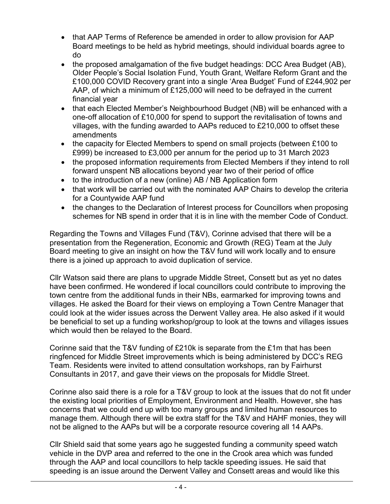- • that AAP Terms of Reference be amended in order to allow provision for AAP Board meetings to be held as hybrid meetings, should individual boards agree to do
- Older People's Social Isolation Fund, Youth Grant, Welfare Reform Grant and the £100,000 COVID Recovery grant into a single 'Area Budget' Fund of £244,902 per financial year • the proposed amalgamation of the five budget headings: DCC Area Budget (AB), AAP, of which a minimum of £125,000 will need to be defrayed in the current
- $\bullet$ • that each Elected Member's Neighbourhood Budget (NB) will be enhanced with a one-off allocation of £10,000 for spend to support the revitalisation of towns and villages, with the funding awarded to AAPs reduced to £210,000 to offset these amendments
- $\bullet$  £999) be increased to £3,000 per annum for the period up to 31 March 2023 • the capacity for Elected Members to spend on small projects (between £100 to
- forward unspent NB allocations beyond year two of their period of office • the proposed information requirements from Elected Members if they intend to roll
- to the introduction of a new (online) AB / NB Application form
- • that work will be carried out with the nominated AAP Chairs to develop the criteria for a Countywide AAP fund
- schemes for NB spend in order that it is in line with the member Code of Conduct. • the changes to the Declaration of Interest process for Councillors when proposing

 there is a joined up approach to avoid duplication of service. Regarding the Towns and Villages Fund (T&V), Corinne advised that there will be a presentation from the Regeneration, Economic and Growth (REG) Team at the July Board meeting to give an insight on how the T&V fund will work locally and to ensure

 have been confirmed. He wondered if local councillors could contribute to improving the villages. He asked the Board for their views on employing a Town Centre Manager that could look at the wider issues across the Derwent Valley area. He also asked if it would be beneficial to set up a funding workshop/group to look at the towns and villages issues which would then be relayed to the Board. Cllr Watson said there are plans to upgrade Middle Street, Consett but as yet no dates town centre from the additional funds in their NBs, earmarked for improving towns and

 Corinne said that the T&V funding of £210k is separate from the £1m that has been Consultants in 2017, and gave their views on the proposals for Middle Street. ringfenced for Middle Street improvements which is being administered by DCC's REG Team. Residents were invited to attend consultation workshops, ran by Fairhurst

 Corinne also said there is a role for a T&V group to look at the issues that do not fit under the existing local priorities of Employment, Environment and Health. However, she has manage them. Although there will be extra staff for the T&V and HAHF monies, they will not be aligned to the AAPs but will be a corporate resource covering all 14 AAPs. concerns that we could end up with too many groups and limited human resources to

 through the AAP and local councillors to help tackle speeding issues. He said that speeding is an issue around the Derwent Valley and Consett areas and would like this Cllr Shield said that some years ago he suggested funding a community speed watch vehicle in the DVP area and referred to the one in the Crook area which was funded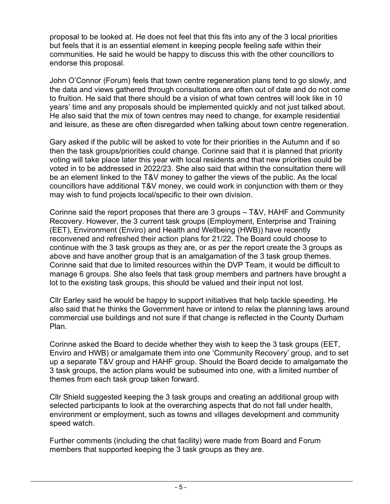proposal to be looked at. He does not feel that this fits into any of the 3 local priorities endorse this proposal. but feels that it is an essential element in keeping people feeling safe within their communities. He said he would be happy to discuss this with the other councillors to

 to fruition. He said that there should be a vision of what town centres will look like in 10 and leisure, as these are often disregarded when talking about town centre regeneration. John O'Connor (Forum) feels that town centre regeneration plans tend to go slowly, and the data and views gathered through consultations are often out of date and do not come years' time and any proposals should be implemented quickly and not just talked about. He also said that the mix of town centres may need to change, for example residential

 then the task groups/priorities could change. Corinne said that it is planned that priority voting will take place later this year with local residents and that new priorities could be voted in to be addressed in 2022/23. She also said that within the consultation there will be an element linked to the T&V money to gather the views of the public. As the local may wish to fund projects local/specific to their own division. Gary asked if the public will be asked to vote for their priorities in the Autumn and if so councillors have additional T&V money, we could work in conjunction with them or they

 Corinne said the report proposes that there are 3 groups – T&V, HAHF and Community Recovery. However, the 3 current task groups (Employment, Enterprise and Training reconvened and refreshed their action plans for 21/22. The Board could choose to above and have another group that is an amalgamation of the 3 task group themes. manage 6 groups. She also feels that task group members and partners have brought a lot to the existing task groups, this should be valued and their input not lost. (EET), Environment (Enviro) and Health and Wellbeing (HWB)) have recently continue with the 3 task groups as they are, or as per the report create the 3 groups as Corinne said that due to limited resources within the DVP Team, it would be difficult to

 Cllr Earley said he would be happy to support initiatives that help tackle speeding. He also said that he thinks the Government have or intend to relax the planning laws around commercial use buildings and not sure if that change is reflected in the County Durham Plan.

 up a separate T&V group and HAHF group. Should the Board decide to amalgamate the themes from each task group taken forward. Corinne asked the Board to decide whether they wish to keep the 3 task groups (EET, Enviro and HWB) or amalgamate them into one 'Community Recovery' group, and to set 3 task groups, the action plans would be subsumed into one, with a limited number of

Cllr Shield suggested keeping the 3 task groups and creating an additional group with selected participants to look at the overarching aspects that do not fall under health, environment or employment, such as towns and villages development and community speed watch.

 members that supported keeping the 3 task groups as they are. Further comments (including the chat facility) were made from Board and Forum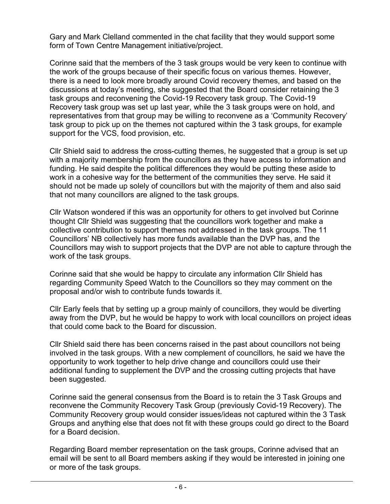form of Town Centre Management initiative/project. Gary and Mark Clelland commented in the chat facility that they would support some

 the work of the groups because of their specific focus on various themes. However, task groups and reconvening the Covid-19 Recovery task group. The Covid-19 representatives from that group may be willing to reconvene as a 'Community Recovery' support for the VCS, food provision, etc. Corinne said that the members of the 3 task groups would be very keen to continue with there is a need to look more broadly around Covid recovery themes, and based on the discussions at today's meeting, she suggested that the Board consider retaining the 3 Recovery task group was set up last year, while the 3 task groups were on hold, and task group to pick up on the themes not captured within the 3 task groups, for example

 funding. He said despite the political differences they would be putting these aside to work in a cohesive way for the betterment of the communities they serve. He said it should not be made up solely of councillors but with the majority of them and also said that not many councillors are aligned to the task groups. Cllr Shield said to address the cross-cutting themes, he suggested that a group is set up with a majority membership from the councillors as they have access to information and

 Councillors' NB collectively has more funds available than the DVP has, and the Councillors may wish to support projects that the DVP are not able to capture through the work of the task groups. Cllr Watson wondered if this was an opportunity for others to get involved but Corinne thought Cllr Shield was suggesting that the councillors work together and make a collective contribution to support themes not addressed in the task groups. The 11

 proposal and/or wish to contribute funds towards it. Corinne said that she would be happy to circulate any information Cllr Shield has regarding Community Speed Watch to the Councillors so they may comment on the

 that could come back to the Board for discussion. Cllr Early feels that by setting up a group mainly of councillors, they would be diverting away from the DVP, but he would be happy to work with local councillors on project ideas

 Cllr Shield said there has been concerns raised in the past about councillors not being involved in the task groups. With a new complement of councillors, he said we have the been suggested. opportunity to work together to help drive change and councillors could use their additional funding to supplement the DVP and the crossing cutting projects that have

 reconvene the Community Recovery Task Group (previously Covid-19 Recovery). The Groups and anything else that does not fit with these groups could go direct to the Board for a Board decision. Corinne said the general consensus from the Board is to retain the 3 Task Groups and Community Recovery group would consider issues/ideas not captured within the 3 Task

 email will be sent to all Board members asking if they would be interested in joining one or more of the task groups. Regarding Board member representation on the task groups, Corinne advised that an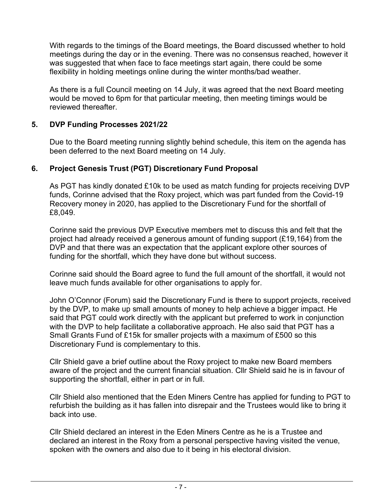meetings during the day or in the evening. There was no consensus reached, however it flexibility in holding meetings online during the winter months/bad weather. With regards to the timings of the Board meetings, the Board discussed whether to hold was suggested that when face to face meetings start again, there could be some

 reviewed thereafter. As there is a full Council meeting on 14 July, it was agreed that the next Board meeting would be moved to 6pm for that particular meeting, then meeting timings would be

## **5. DVP Funding Processes 2021/22**

 been deferred to the next Board meeting on 14 July. Due to the Board meeting running slightly behind schedule, this item on the agenda has

# **6. Project Genesis Trust (PGT) Discretionary Fund Proposal**

 funds, Corinne advised that the Roxy project, which was part funded from the Covid-19 Recovery money in 2020, has applied to the Discretionary Fund for the shortfall of As PGT has kindly donated £10k to be used as match funding for projects receiving DVP £8,049.

 Corinne said the previous DVP Executive members met to discuss this and felt that the funding for the shortfall, which they have done but without success. project had already received a generous amount of funding support (£19,164) from the DVP and that there was an expectation that the applicant explore other sources of

 leave much funds available for other organisations to apply for. Corinne said should the Board agree to fund the full amount of the shortfall, it would not

 by the DVP, to make up small amounts of money to help achieve a bigger impact. He with the DVP to help facilitate a collaborative approach. He also said that PGT has a Small Grants Fund of £15k for smaller projects with a maximum of £500 so this Discretionary Fund is complementary to this. John O'Connor (Forum) said the Discretionary Fund is there to support projects, received said that PGT could work directly with the applicant but preferred to work in conjunction

 supporting the shortfall, either in part or in full. Cllr Shield gave a brief outline about the Roxy project to make new Board members aware of the project and the current financial situation. Cllr Shield said he is in favour of

 Cllr Shield also mentioned that the Eden Miners Centre has applied for funding to PGT to back into use. refurbish the building as it has fallen into disrepair and the Trustees would like to bring it

 spoken with the owners and also due to it being in his electoral division. Cllr Shield declared an interest in the Eden Miners Centre as he is a Trustee and declared an interest in the Roxy from a personal perspective having visited the venue,